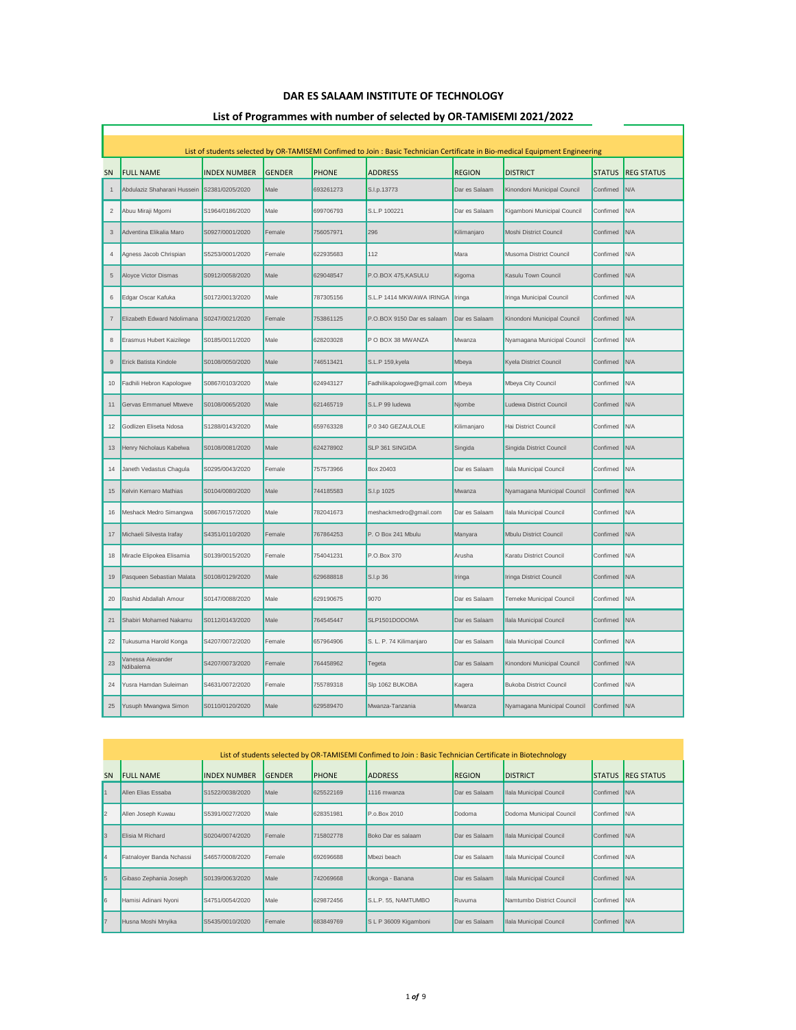|                |                                |                     |               |              |                            |               | List of students selected by OR-TAMISEMI Confimed to Join : Basic Technician Certificate in Bio-medical Equipment Engineering |               |                   |  |
|----------------|--------------------------------|---------------------|---------------|--------------|----------------------------|---------------|-------------------------------------------------------------------------------------------------------------------------------|---------------|-------------------|--|
| SN             | <b>FULL NAME</b>               | <b>INDEX NUMBER</b> | <b>GENDER</b> | <b>PHONE</b> | <b>ADDRESS</b>             | <b>REGION</b> | <b>DISTRICT</b>                                                                                                               | <b>STATUS</b> | <b>REG STATUS</b> |  |
| $\mathbf{1}$   | Abdulaziz Shaharani Hussein    | S2381/0205/2020     | Male          | 693261273    | S.I.p.13773                | Dar es Salaam | Kinondoni Municipal Council                                                                                                   | Confimed      | N/A               |  |
| $\sqrt{2}$     | Abuu Miraji Mgomi              | S1964/0186/2020     | Male          | 699706793    | S.L.P 100221               | Dar es Salaam | Kigamboni Municipal Council                                                                                                   | Confimed      | N/A               |  |
| 3              | Adventina Elikalia Maro        | S0927/0001/2020     | Female        | 756057971    | 296                        | Kilimanjaro   | Moshi District Council                                                                                                        | Confimed      | N/A               |  |
| 4              | Agness Jacob Chrispian         | S5253/0001/2020     | Female        | 622935683    | 112                        | Mara          | Musoma District Council                                                                                                       | Confimed      | N/A               |  |
| 5              | Aloyce Victor Dismas           | S0912/0058/2020     | Male          | 629048547    | P.O.BOX 475, KASULU        | Kigoma        | Kasulu Town Council                                                                                                           | Confimed      | N/A               |  |
| 6              | Edgar Oscar Kafuka             | S0172/0013/2020     | Male          | 787305156    | S.L.P 1414 MKWAWA IRINGA   | Iringa        | Iringa Municipal Council                                                                                                      | Confimed      | N/A               |  |
| $\overline{7}$ | Elizabeth Edward Ndolimana     | S0247/0021/2020     | Female        | 753861125    | P.O.BOX 9150 Dar es salaam | Dar es Salaam | Kinondoni Municipal Council                                                                                                   | Confimed      | N/A               |  |
| 8              | Erasmus Hubert Kaizilege       | S0185/0011/2020     | Male          | 628203028    | P O BOX 38 MWANZA          | Mwanza        | Nyamagana Municipal Council                                                                                                   | Confimed      | N/A               |  |
| $\mathsf g$    | <b>Frick Batista Kindole</b>   | S0108/0050/2020     | Male          | 746513421    | S.L.P 159, kyela           | Mbeya         | Kyela District Council                                                                                                        | Confimed      | N/A               |  |
| 10             | Fadhili Hebron Kapologwe       | S0867/0103/2020     | Male          | 624943127    | Fadhilikapologwe@gmail.com | Mbeya         | Mbeya City Council                                                                                                            | Confimed      | N/A               |  |
| 11             | Gervas Emmanuel Mtweve         | S0108/0065/2020     | Male          | 621465719    | S.L.P 99 ludewa            | Njombe        | Ludewa District Council                                                                                                       | Confimed      | <b>N/A</b>        |  |
| 12             | Godlizen Eliseta Ndosa         | S1288/0143/2020     | Male          | 659763328    | P.0 340 GEZAULOLE          | Kilimanjaro   | Hai District Council                                                                                                          | Confimed      | N/A               |  |
| 13             | Henry Nicholaus Kabelwa        | S0108/0081/2020     | Male          | 624278902    | SLP 361 SINGIDA            | Singida       | Singida District Council                                                                                                      | Confimed      | N/A               |  |
| 14             | Janeth Vedastus Chagula        | S0295/0043/2020     | Female        | 757573966    | Box 20403                  | Dar es Salaam | Ilala Municipal Council                                                                                                       | Confimed      | N/A               |  |
| 15             | Kelvin Kemaro Mathias          | S0104/0080/2020     | Male          | 744185583    | S.I.p 1025                 | Mwanza        | Nyamagana Municipal Council                                                                                                   | Confimed      | N/A               |  |
| 16             | Meshack Medro Simangwa         | S0867/0157/2020     | Male          | 782041673    | meshackmedro@gmail.com     | Dar es Salaam | Ilala Municipal Council                                                                                                       | Confimed      | N/A               |  |
| 17             | Michaeli Silvesta Irafay       | S4351/0110/2020     | Female        | 767864253    | P. O Box 241 Mbulu         | Manyara       | Mbulu District Council                                                                                                        | Confimed      | N/A               |  |
| 18             | Miracle Elipokea Elisamia      | S0139/0015/2020     | Female        | 754041231    | P.O.Box 370                | Arusha        | Karatu District Council                                                                                                       | Confimed      | N/A               |  |
| 19             | Pasqueen Sebastian Malata      | S0108/0129/2020     | Male          | 629688818    | S.I.p 36                   | Iringa        | Iringa District Council                                                                                                       | Confimed      | N/A               |  |
| 20             | Rashid Abdallah Amour          | S0147/0088/2020     | Male          | 629190675    | 9070                       | Dar es Salaam | <b>Temeke Municipal Council</b>                                                                                               | Confimed      | N/A               |  |
| 21             | Shabiri Mohamed Nakamu         | S0112/0143/2020     | Male          | 764545447    | SLP1501DODOMA              | Dar es Salaam | Ilala Municipal Council                                                                                                       | Confimed      | N/A               |  |
| 22             | Tukusuma Harold Konga          | S4207/0072/2020     | Female        | 657964906    | S. L. P. 74 Kilimanjaro    | Dar es Salaam | Ilala Municipal Council                                                                                                       | Confimed      | N/A               |  |
| 23             | Vanessa Alexander<br>Ndibalema | S4207/0073/2020     | Female        | 764458962    | Tegeta                     | Dar es Salaam | Kinondoni Municipal Council                                                                                                   | Confimed      | N/A               |  |
| 24             | Yusra Hamdan Suleiman          | S4631/0072/2020     | Female        | 755789318    | Slp 1062 BUKOBA            | Kagera        | <b>Bukoba District Council</b>                                                                                                | Confimed      | N/A               |  |
| 25             | Yusuph Mwangwa Simon           | S0110/0120/2020     | Male          | 629589470    | Mwanza-Tanzania            | Mwanza        | Nyamagana Municipal Council                                                                                                   | Confimed      | N/A               |  |

|                | List of students selected by OR-TAMISEMI Confimed to Join : Basic Technician Certificate in Biotechnology |                     |               |              |                     |               |                           |               |                   |  |  |  |
|----------------|-----------------------------------------------------------------------------------------------------------|---------------------|---------------|--------------|---------------------|---------------|---------------------------|---------------|-------------------|--|--|--|
| <b>SN</b>      | <b>FULL NAME</b>                                                                                          | <b>INDEX NUMBER</b> | <b>GENDER</b> | <b>PHONE</b> | <b>ADDRESS</b>      | <b>REGION</b> | <b>DISTRICT</b>           | <b>STATUS</b> | <b>REG STATUS</b> |  |  |  |
|                | Allen Flias Essaba                                                                                        | S1522/0038/2020     | Male          | 625522169    | 1116 mwanza         | Dar es Salaam | Ilala Municipal Council   | Confimed      | IN/A              |  |  |  |
| 2              | Allen Joseph Kuwau                                                                                        | S5391/0027/2020     | Male          | 628351981    | P.o.Box 2010        | Dodoma        | Dodoma Municipal Council  | Confimed      | IN/A              |  |  |  |
| $\mathsf{I}3$  | Elisia M Richard                                                                                          | S0204/0074/2020     | Female        | 715802778    | Boko Dar es salaam  | Dar es Salaam | Ilala Municipal Council   | Confimed      | IN/A              |  |  |  |
| 14             | Fatnaloyer Banda Nchassi                                                                                  | S4657/0008/2020     | Female        | 692696688    | Mhezi beach         | Dar es Salaam | Ilala Municipal Council   | Confimed      | IN/A              |  |  |  |
| 5              | Gibaso Zephania Joseph                                                                                    | S0139/0063/2020     | Male          | 742069668    | Ukonga - Banana     | Dar es Salaam | Ilala Municipal Council   | Confimed      | IN/A              |  |  |  |
| l <sub>6</sub> | Hamisi Adinani Nyoni                                                                                      | S4751/0054/2020     | Male          | 629872456    | S.L.P. 55. NAMTUMBO | Ruvuma        | Namtumbo District Council | Confimed      | IN/A              |  |  |  |
| 17             | Husna Moshi Mnyika                                                                                        | S5435/0010/2020     | Female        | 683849769    | SLP 36009 Kigamboni | Dar es Salaam | Ilala Municipal Council   | Confimed      | IN/A              |  |  |  |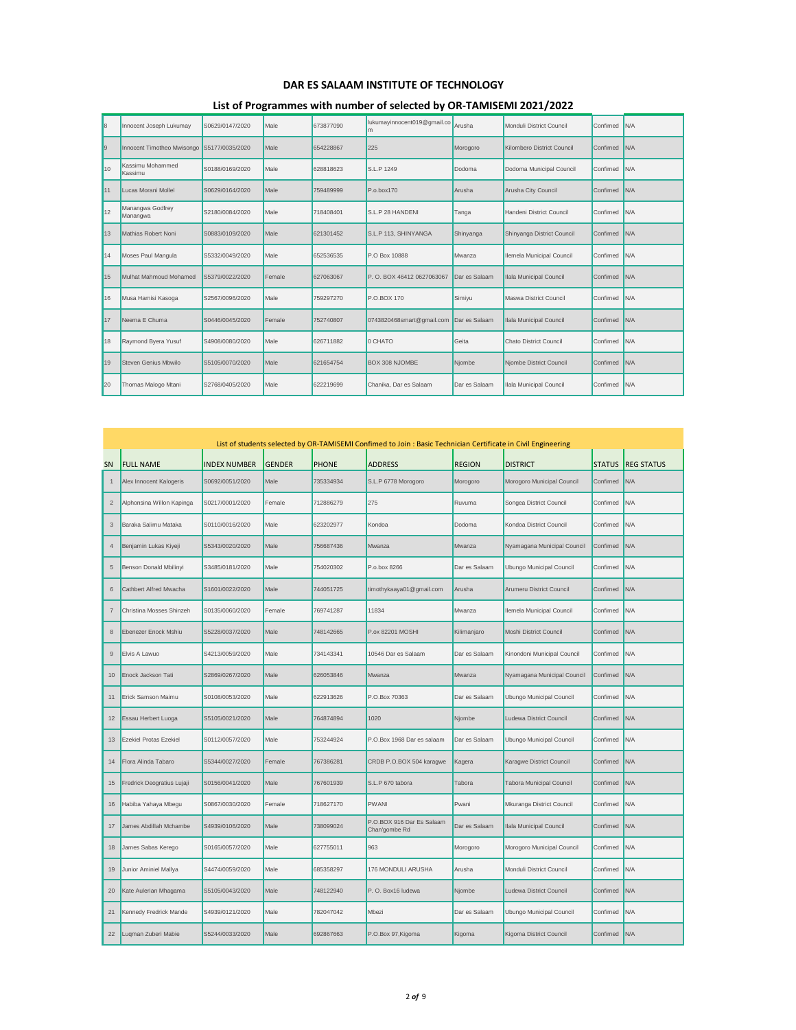| 8              | Innocent Joseph Lukumay      | S0629/0147/2020 | Male   | 673877090 | lukumayinnocent019@gmail.co<br>Im | Arusha        | Monduli District Council   | Confimed | N/A        |
|----------------|------------------------------|-----------------|--------|-----------|-----------------------------------|---------------|----------------------------|----------|------------|
| $\overline{9}$ | Innocent Timotheo Mwisongo   | S5177/0035/2020 | Male   | 654228867 | 225                               | Morogoro      | Kilombero District Council | Confimed | N/A        |
| 10             | Kassimu Mohammed<br>Kassimu  | S0188/0169/2020 | Male   | 628818623 | S.L.P 1249                        | Dodoma        | Dodoma Municipal Council   | Confimed | N/A        |
| 11             | Lucas Morani Mollel          | S0629/0164/2020 | Male   | 759489999 | P.o.box170                        | Arusha        | Arusha City Council        | Confimed | <b>N/A</b> |
| 12             | Manangwa Godfrey<br>Manangwa | S2180/0084/2020 | Male   | 718408401 | S.L.P 28 HANDENI                  | Tanga         | Handeni District Council   | Confimed | N/A        |
| 13             | Mathias Robert Noni          | S0883/0109/2020 | Male   | 621301452 | S.L.P 113, SHINYANGA              | Shinyanga     | Shinyanga District Council | Confimed | N/A        |
| 14             | Moses Paul Mangula           | S5332/0049/2020 | Male   | 652536535 | P.O Box 10888                     | Mwanza        | Ilemela Municipal Council  | Confimed | N/A        |
| 15             | Mulhat Mahmoud Mohamed       | S5379/0022/2020 | Female | 627063067 | P. O. BOX 46412 0627063067        | Dar es Salaam | Ilala Municipal Council    | Confimed | <b>N/A</b> |
| 16             | Musa Hamisi Kasoga           | S2567/0096/2020 | Male   | 759297270 | P.O.BOX 170                       | Simiyu        | Maswa District Council     | Confimed | N/A        |
| 17             | Neema E Chuma                | S0446/0045/2020 | Female | 752740807 | 0743820468smart@gmail.com         | Dar es Salaam | Ilala Municipal Council    | Confimed | N/A        |
| 18             | Raymond Byera Yusuf          | S4908/0080/2020 | Male   | 626711882 | 0 CHATO                           | Geita         | Chato District Council     | Confimed | N/A        |
| 19             | Steven Genius Mbwilo         | S5105/0070/2020 | Male   | 621654754 | BOX 308 NJOMBE                    | Njombe        | Njombe District Council    | Confimed | <b>N/A</b> |
| 20             | Thomas Malogo Mtani          | S2768/0405/2020 | Male   | 622219699 | Chanika, Dar es Salaam            | Dar es Salaam | Ilala Municipal Council    | Confimed | <b>N/A</b> |

|                           | List of students selected by OR-TAMISEMI Confimed to Join : Basic Technician Certificate in Civil Engineering |                     |               |              |                                            |               |                             |               |                   |  |  |
|---------------------------|---------------------------------------------------------------------------------------------------------------|---------------------|---------------|--------------|--------------------------------------------|---------------|-----------------------------|---------------|-------------------|--|--|
| SN                        | <b>FULL NAME</b>                                                                                              | <b>INDEX NUMBER</b> | <b>GENDER</b> | <b>PHONE</b> | <b>ADDRESS</b>                             | <b>REGION</b> | <b>DISTRICT</b>             | <b>STATUS</b> | <b>REG STATUS</b> |  |  |
| $\mathbf{1}$              | Alex Innocent Kalogeris                                                                                       | S0692/0051/2020     | Male          | 735334934    | S.L.P 6778 Morogoro                        | Morogoro      | Morogoro Municipal Council  | Confimed      | N/A               |  |  |
| $\overline{\mathbf{c}}$   | Alphonsina Willon Kapinga                                                                                     | S0217/0001/2020     | Female        | 712886279    | 275                                        | Ruvuma        | Songea District Council     | Confimed      | N/A               |  |  |
| $\sqrt{3}$                | Baraka Salimu Mataka                                                                                          | S0110/0016/2020     | Male          | 623202977    | Kondoa                                     | Dodoma        | Kondoa District Council     | Confimed      | N/A               |  |  |
| 4                         | Benjamin Lukas Kiyeji                                                                                         | S5343/0020/2020     | Male          | 756687436    | Mwanza                                     | Mwanza        | Nyamagana Municipal Council | Confimed      | N/A               |  |  |
| 5                         | Benson Donald Mbilinyi                                                                                        | S3485/0181/2020     | Male          | 754020302    | P.o.box 8266                               | Dar es Salaam | Ubungo Municipal Council    | Confimed      | N/A               |  |  |
| 6                         | Cathbert Alfred Mwacha                                                                                        | S1601/0022/2020     | Male          | 744051725    | timothykaaya01@gmail.com                   | Arusha        | Arumeru District Council    | Confimed      | N/A               |  |  |
| $\overline{\mathfrak{c}}$ | Christina Mosses Shinzeh                                                                                      | S0135/0060/2020     | Female        | 769741287    | 11834                                      | Mwanza        | Ilemela Municipal Council   | Confimed      | N/A               |  |  |
| 8                         | Ebenezer Enock Mshiu                                                                                          | S5228/0037/2020     | Male          | 748142665    | P.ox 82201 MOSHI                           | Kilimanjaro   | Moshi District Council      | Confimed      | N/A               |  |  |
| 9                         | Elvis A Lawuo                                                                                                 | S4213/0059/2020     | Male          | 734143341    | 10546 Dar es Salaam                        | Dar es Salaam | Kinondoni Municipal Council | Confimed      | N/A               |  |  |
| 10                        | Enock Jackson Tati                                                                                            | S2869/0267/2020     | Male          | 626053846    | Mwanza                                     | Mwanza        | Nyamagana Municipal Council | Confimed      | N/A               |  |  |
| 11                        | Erick Samson Maimu                                                                                            | S0108/0053/2020     | Male          | 622913626    | P.O.Box 70363                              | Dar es Salaam | Ubungo Municipal Council    | Confimed      | N/A               |  |  |
| 12                        | Essau Herbert Luoga                                                                                           | S5105/0021/2020     | Male          | 764874894    | 1020                                       | Njombe        | Ludewa District Council     | Confimed      | N/A               |  |  |
| 13                        | <b>Ezekiel Protas Ezekiel</b>                                                                                 | S0112/0057/2020     | Male          | 753244924    | P.O.Box 1968 Dar es salaam                 | Dar es Salaam | Ubungo Municipal Council    | Confimed      | N/A               |  |  |
| 14                        | Flora Alinda Tabaro                                                                                           | S5344/0027/2020     | Female        | 767386281    | CRDB P.O.BOX 504 karagwe                   | Kagera        | Karagwe District Council    | Confimed      | N/A               |  |  |
| 15                        | Fredrick Deogratius Lujaji                                                                                    | S0156/0041/2020     | Male          | 767601939    | S.L.P 670 tabora                           | Tabora        | Tabora Municipal Council    | Confimed      | N/A               |  |  |
| 16                        | Habiba Yahaya Mbegu                                                                                           | S0867/0030/2020     | Female        | 718627170    | <b>PWANI</b>                               | Pwani         | Mkuranga District Council   | Confimed      | N/A               |  |  |
| 17                        | James Abdillah Mchambe                                                                                        | S4939/0106/2020     | Male          | 738099024    | P.O.BOX 916 Dar Es Salaam<br>Chan'gombe Rd | Dar es Salaam | Ilala Municipal Council     | Confimed      | N/A               |  |  |
| 18                        | James Sabas Kerego                                                                                            | S0165/0057/2020     | Male          | 627755011    | 963                                        | Morogoro      | Morogoro Municipal Council  | Confimed      | N/A               |  |  |
| 19                        | Junior Aminiel Mallya                                                                                         | S4474/0059/2020     | Male          | 685358297    | 176 MONDULI ARUSHA                         | Arusha        | Monduli District Council    | Confimed      | N/A               |  |  |
| 20                        | Kate Aulerian Mhagama                                                                                         | S5105/0043/2020     | Male          | 748122940    | P. O. Box16 ludewa                         | Njombe        | Ludewa District Council     | Confimed      | N/A               |  |  |
| 21                        | Kennedy Fredrick Mande                                                                                        | S4939/0121/2020     | Male          | 782047042    | Mbezi                                      | Dar es Salaam | Ubungo Municipal Council    | Confimed      | N/A               |  |  |
| 22                        | Luqman Zuberi Mabie                                                                                           | S5244/0033/2020     | Male          | 692867663    | P.O.Box 97, Kigoma                         | Kigoma        | Kigoma District Council     | Confimed      | N/A               |  |  |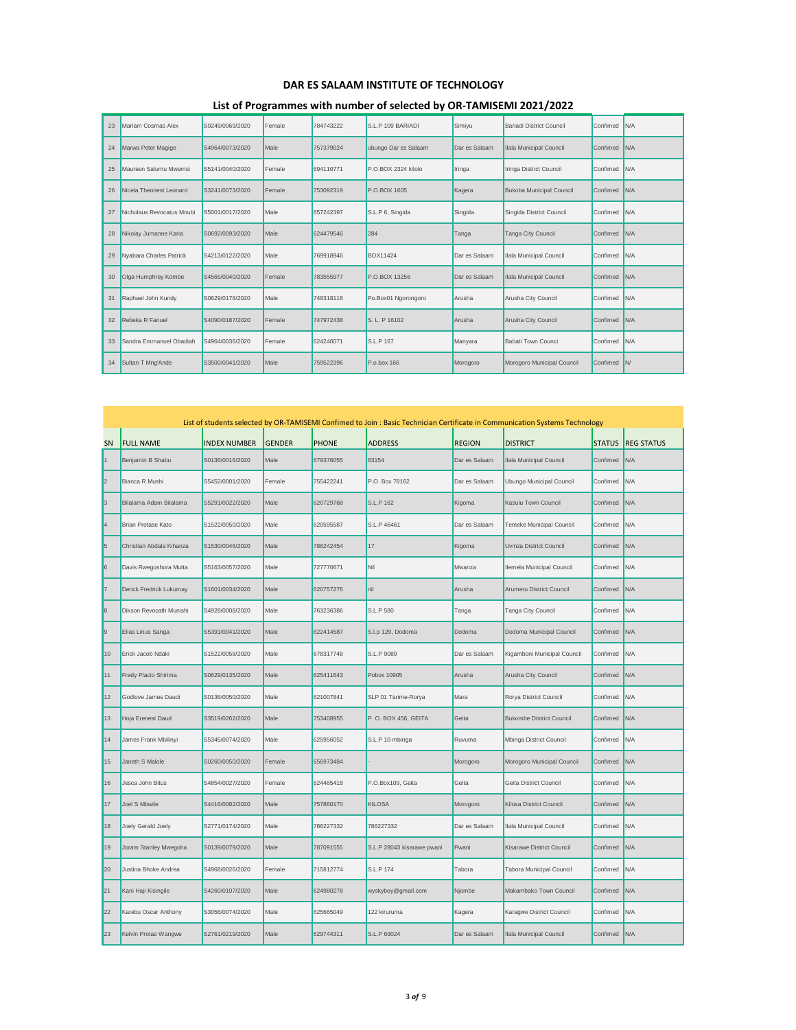| 23 | Mariam Cosmas Alex        | S0249/0069/2020 | Female | 784743222 | S.L.P 109 BARIADI    | Simiyu        | <b>Bariadi District Council</b> | Confimed | N/A        |
|----|---------------------------|-----------------|--------|-----------|----------------------|---------------|---------------------------------|----------|------------|
| 24 | Marwa Peter Magige        | S4964/0073/2020 | Male   | 757379024 | ubungo Dar es Salaam | Dar es Salaam | Ilala Municipal Council         | Confimed | N/A        |
| 25 | Maureen Salumu Mwemsi     | S5141/0040/2020 | Female | 694110771 | P.O.BOX 2324 kilolo  | Iringa        | Iringa District Council         | Confimed | <b>N/A</b> |
| 26 | Nicela Theonest Leonard   | S3241/0073/2020 | Female | 753092319 | P.O.BOX 1605         | Kagera        | <b>Bukoba Municipal Council</b> | Confimed | <b>N/A</b> |
| 27 | Nicholaus Revocatus Mnubi | S5001/0017/2020 | Male   | 657242397 | S.L.P 6, Singida     | Singida       | Singida District Council        | Confimed | <b>N/A</b> |
| 28 | Nikolay Jumanne Karia     | S0692/0093/2020 | Male   | 624479546 | 284                  | Tanga         | Tanga City Council              | Confimed | <b>N/A</b> |
| 29 | Nyabara Charles Patrick   | S4213/0122/2020 | Male   | 769918946 | <b>BOX11424</b>      | Dar es Salaam | Ilala Municipal Council         | Confimed | N/A        |
| 30 | Olga Humphrey Kombe       | S4565/0040/2020 | Female | 783555977 | P.O.BOX 13256        | Dar es Salaam | Ilala Municipal Council         | Confimed | <b>N/A</b> |
| 31 | Raphael John Kundy        | S0629/0178/2020 | Male   | 748318118 | Po.Box01 Ngorongoro  | Arusha        | Arusha City Council             | Confimed | IN/A       |
| 32 | Rebeka R Fanuel           | S4090/0187/2020 | Female | 747972438 | S. L. P 16102        | Arusha        | Arusha City Council             | Confimed | N/A        |
| 33 | Sandra Emmanuel Obadiah   | S4964/0036/2020 | Female | 624246071 | <b>S.L.P 167</b>     | Manyara       | Babati Town Counci              | Confimed | IN/A       |
| 34 | Sultan T Mng'Ande         | S3500/0041/2020 | Male   | 759522396 | P.o.box 166          | Morogoro      | Morogoro Municipal Council      | Confimed | N          |

|                         | List of students selected by OR-TAMISEMI Confimed to Join : Basic Technician Certificate in Communication Systems Technology |                     |               |              |                            |               |                                 |               |                   |  |  |
|-------------------------|------------------------------------------------------------------------------------------------------------------------------|---------------------|---------------|--------------|----------------------------|---------------|---------------------------------|---------------|-------------------|--|--|
| SN                      | <b>FULL NAME</b>                                                                                                             | <b>INDEX NUMBER</b> | <b>GENDER</b> | <b>PHONE</b> | <b>ADDRESS</b>             | <b>REGION</b> | <b>DISTRICT</b>                 | <b>STATUS</b> | <b>REG STATUS</b> |  |  |
| 1                       | Benjamin B Shabu                                                                                                             | S0136/0016/2020     | Male          | 679376055    | 63154                      | Dar es Salaam | Ilala Municipal Council         | Confimed      | N/A               |  |  |
| $\overline{2}$          | Bianca R Mushi                                                                                                               | S5452/0001/2020     | Female        | 755422241    | P.O. Box 78162             | Dar es Salaam | Ubungo Municipal Council        | Confimed      | N/A               |  |  |
| 3                       | Bilalama Adam Bilalama                                                                                                       | S5291/0022/2020     | Male          | 620729768    | S.L.P 162                  | Kigoma        | Kasulu Town Council             | Confimed      | N/A               |  |  |
| 4                       | <b>Brian Protase Kato</b>                                                                                                    | S1522/0050/2020     | Male          | 620595587    | S.L.P 46461                | Dar es Salaam | Temeke Municipal Council        | Confimed      | N/A               |  |  |
| 5                       | Christian Abdala Kihanza                                                                                                     | S1530/0046/2020     | Male          | 786242454    | 17                         | Kigoma        | <b>Uvinza District Council</b>  | Confimed      | N/A               |  |  |
| $6\overline{6}$         | Davis Rwegoshora Mutta                                                                                                       | S5163/0057/2020     | Male          | 727770671    | Nil                        | Mwanza        | Ilemela Municipal Council       | Confimed      | N/A               |  |  |
|                         | Derick Fredrick Lukumay                                                                                                      | S1601/0034/2020     | Male          | 620757276    | nil                        | Arusha        | Arumeru District Council        | Confimed      | N/A               |  |  |
| $\overline{\mathbf{8}}$ | Dikson Revocath Munishi                                                                                                      | S4928/0008/2020     | Male          | 763236386    | S.L.P 580                  | Tanga         | Tanga City Council              | Confimed      | N/A               |  |  |
| $\overline{9}$          | Elias Linus Sanga                                                                                                            | S5391/0041/2020     | Male          | 622414587    | S.I.p 129, Dodoma          | Dodoma        | Dodoma Municipal Council        | Confimed      | N/A               |  |  |
| 10                      | Erick Jacob Ndaki                                                                                                            | S1522/0058/2020     | Male          | 678317748    | S.L.P 9080                 | Dar es Salaam | Kigamboni Municipal Council     | Confimed      | N/A               |  |  |
| 11                      | Fredy Placio Shirima                                                                                                         | S0629/0135/2020     | Male          | 625411643    | Pobox 10905                | Arusha        | Arusha City Council             | Confimed      | N/A               |  |  |
| 12                      | Godlove James Daudi                                                                                                          | S0136/0050/2020     | Male          | 621007841    | SLP 01 Tarime-Rorya        | Mara          | Rorya District Council          | Confimed      | N/A               |  |  |
| 13                      | Hoja Erenest Daud                                                                                                            | S3519/0262/2020     | Male          | 753408955    | P.O. BOX 456, GEITA        | Geita         | <b>Bukombe District Council</b> | Confimed      | N/A               |  |  |
| 14                      | James Frank Mbilinyi                                                                                                         | S5345/0074/2020     | Male          | 625956052    | S.L.P 10 mbinga            | Ruvuma        | Mbinga District Council         | Confimed      | N/A               |  |  |
| 15                      | Janeth S Malole                                                                                                              | S0260/0050/2020     | Female        | 656973484    |                            | Morogoro      | Morogoro Municipal Council      | Confimed      | N/A               |  |  |
| 16                      | Jesca John Bitus                                                                                                             | S4854/0027/2020     | Female        | 624465418    | P.O.Box109, Geita          | Geita         | Geita District Council          | Confimed      | N/A               |  |  |
| 17                      | Joel S Mbwile                                                                                                                | S4416/0082/2020     | Male          | 757860170    | <b>KILOSA</b>              | Morogoro      | Kilosa District Council         | Confimed      | N/A               |  |  |
| 18                      | Joely Gerald Joely                                                                                                           | S2771/0174/2020     | Male          | 786227332    | 786227332                  | Dar es Salaam | Ilala Municipal Council         | Confimed      | N/A               |  |  |
| 19                      | Joram Stanley Mwegoha                                                                                                        | S0139/0079/2020     | Male          | 787091555    | S.L.P 28043 kisarawe pwani | Pwani         | Kisarawe District Council       | Confimed      | N/A               |  |  |
| 20                      | Justina Bhoke Andrea                                                                                                         | S4968/0026/2020     | Female        | 715812774    | S.L.P 174                  | Tabora        | <b>Tabora Municipal Council</b> | Confimed      | N/A               |  |  |
| 21                      | Kani Haji Kisingile                                                                                                          | S4260/0107/2020     | Male          | 624980278    | wyskyboy@gmail.com         | Njombe        | Makambako Town Council          | Confimed      | N/A               |  |  |
| 22                      | Karebu Oscar Anthony                                                                                                         | S3056/0074/2020     | Male          | 625665049    | 122 kiruruma               | Kagera        | Karagwe District Council        | Confimed      | N/A               |  |  |
| 23                      | Kelvin Protas Wangwe                                                                                                         | S2761/0219/2020     | Male          | 629744311    | S.L.P 69024                | Dar es Salaam | Ilala Municipal Council         | Confimed      | N/A               |  |  |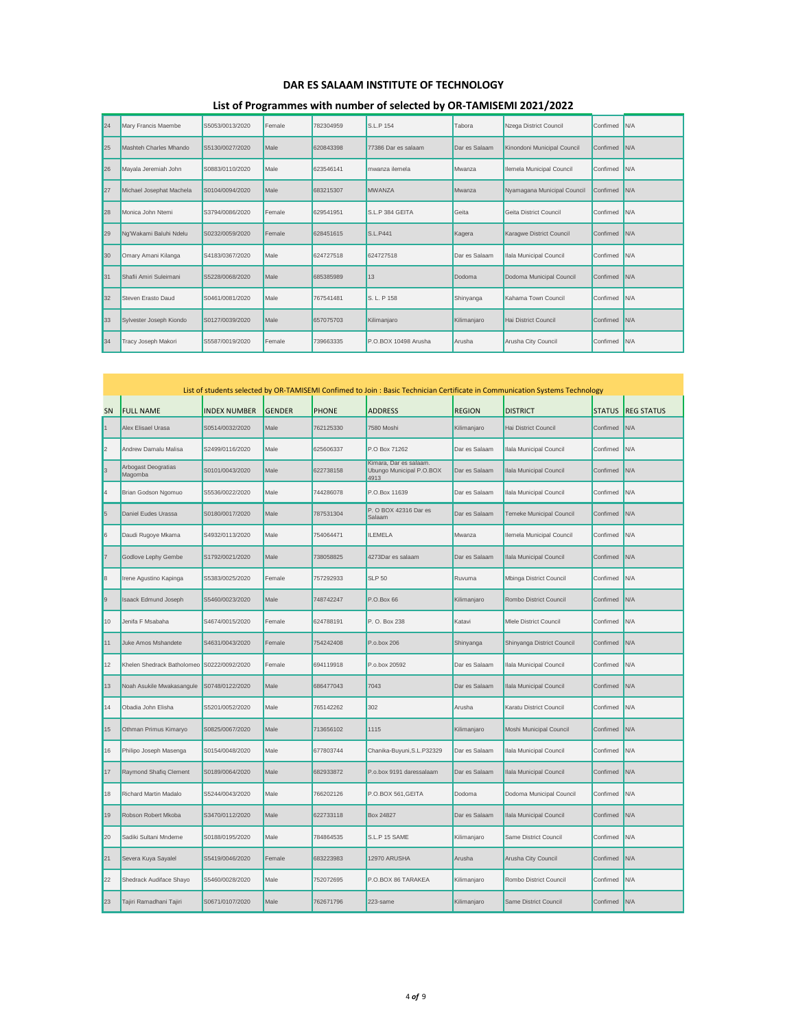| 24 | Mary Francis Maembe      | S5053/0013/2020 | Female | 782304959 | S.L.P 154            | Tabora        | Nzega District Council      | Confimed | IN/A        |
|----|--------------------------|-----------------|--------|-----------|----------------------|---------------|-----------------------------|----------|-------------|
| 25 | Mashteh Charles Mhando   | S5130/0027/2020 | Male   | 620843398 | 77386 Dar es salaam  | Dar es Salaam | Kinondoni Municipal Council | Confimed | N/A         |
| 26 | Mayala Jeremiah John     | S0883/0110/2020 | Male   | 623546141 | mwanza ilemela       | Mwanza        | Ilemela Municipal Council   | Confimed | N/A         |
| 27 | Michael Josephat Machela | S0104/0094/2020 | Male   | 683215307 | <b>MWANZA</b>        | Mwanza        | Nyamagana Municipal Council | Confimed | N/A         |
| 28 | Monica John Ntemi        | S3794/0086/2020 | Female | 629541951 | S.L.P 384 GEITA      | Geita         | Geita District Council      | Confimed | N/A         |
| 29 | Ng'Wakami Baluhi Ndelu   | S0232/0059/2020 | Female | 628451615 | S.L.P441             | Kagera        | Karagwe District Council    | Confimed | <b>IN/A</b> |
| 30 | Omary Amani Kilanga      | S4183/0367/2020 | Male   | 624727518 | 624727518            | Dar es Salaam | Ilala Municipal Council     | Confimed | <b>N/A</b>  |
| 31 | Shafii Amiri Suleimani   | S5228/0068/2020 | Male   | 685385989 | 13                   | Dodoma        | Dodoma Municipal Council    | Confimed | IN/A        |
| 32 | Steven Erasto Daud       | S0461/0081/2020 | Male   | 767541481 | S. L. P 158          | Shinyanga     | Kahama Town Council         | Confimed | IN/A        |
| 33 | Sylvester Joseph Kiondo  | S0127/0039/2020 | Male   | 657075703 | Kilimanjaro          | Kilimanjaro   | <b>Hai District Council</b> | Confimed | <b>N/A</b>  |
| 34 | Tracy Joseph Makori      | S5587/0019/2020 | Female | 739663335 | P.O.BOX 10498 Arusha | Arusha        | Arusha City Council         | Confimed | <b>N/A</b>  |

|                         |                                |                     |               |              |                                                            |               | List of students selected by OR-TAMISEMI Confimed to Join : Basic Technician Certificate in Communication Systems Technology |               |                   |
|-------------------------|--------------------------------|---------------------|---------------|--------------|------------------------------------------------------------|---------------|------------------------------------------------------------------------------------------------------------------------------|---------------|-------------------|
| <b>SN</b>               | <b>FULL NAME</b>               | <b>INDEX NUMBER</b> | <b>GENDER</b> | <b>PHONE</b> | <b>ADDRESS</b>                                             | <b>REGION</b> | <b>DISTRICT</b>                                                                                                              | <b>STATUS</b> | <b>REG STATUS</b> |
|                         | Alex Elisael Urasa             | S0514/0032/2020     | Male          | 762125330    | 7580 Moshi                                                 | Kilimanjaro   | Hai District Council                                                                                                         | Confimed      | N/A               |
| $\overline{2}$          | Andrew Damalu Malisa           | S2499/0116/2020     | Male          | 625606337    | P.O Box 71262                                              | Dar es Salaam | Ilala Municipal Council                                                                                                      | Confimed      | N/A               |
| $\overline{\mathbf{3}}$ | Arbogast Deogratias<br>Magomba | S0101/0043/2020     | Male          | 622738158    | Kimara, Dar es salaam.<br>Ubungo Municipal P.O.BOX<br>4913 | Dar es Salaam | Ilala Municipal Council                                                                                                      | Confimed      | N/A               |
| 4                       | Brian Godson Ngomuo            | S5536/0022/2020     | Male          | 744286078    | P.O.Box 11639                                              | Dar es Salaam | Ilala Municipal Council                                                                                                      | Confimed      | N/A               |
| 5                       | Daniel Eudes Urassa            | S0180/0017/2020     | Male          | 787531304    | P. O BOX 42316 Dar es<br>Salaam                            | Dar es Salaam | Temeke Municipal Council                                                                                                     | Confimed      | N/A               |
| $6\phantom{.0}$         | Daudi Rugoye Mkama             | S4932/0113/2020     | Male          | 754064471    | <b>ILEMELA</b>                                             | Mwanza        | Ilemela Municipal Council                                                                                                    | Confimed      | N/A               |
|                         | Godlove Lephy Gembe            | S1792/0021/2020     | Male          | 738058825    | 4273Dar es salaam                                          | Dar es Salaam | Ilala Municipal Council                                                                                                      | Confimed      | N/A               |
| 8                       | Irene Agustino Kapinga         | S5383/0025/2020     | Female        | 757292933    | <b>SLP 50</b>                                              | Ruvuma        | Mbinga District Council                                                                                                      | Confimed      | N/A               |
| $\overline{9}$          | <b>Isaack Edmund Joseph</b>    | S5460/0023/2020     | Male          | 748742247    | P.O.Box 66                                                 | Kilimanjaro   | Rombo District Council                                                                                                       | Confimed      | N/A               |
| 10                      | Jenifa F Msabaha               | S4674/0015/2020     | Female        | 624788191    | P. O. Box 238                                              | Katavi        | Mlele District Council                                                                                                       | Confimed      | N/A               |
| 11                      | Juke Amos Mshandete            | S4631/0043/2020     | Female        | 754242408    | P.o.box 206                                                | Shinyanga     | Shinyanga District Council                                                                                                   | Confimed      | N/A               |
| 12                      | Khelen Shedrack Batholomeo     | S0222/0092/2020     | Female        | 694119918    | P.o.box 20592                                              | Dar es Salaam | Ilala Municipal Council                                                                                                      | Confimed      | N/A               |
| 13                      | Noah Asukile Mwakasangule      | S0748/0122/2020     | Male          | 686477043    | 7043                                                       | Dar es Salaam | Ilala Municipal Council                                                                                                      | Confimed      | N/A               |
| 14                      | Obadia John Elisha             | S5201/0052/2020     | Male          | 765142262    | 302                                                        | Arusha        | Karatu District Council                                                                                                      | Confimed      | N/A               |
| 15                      | Othman Primus Kimaryo          | S0825/0067/2020     | Male          | 713656102    | 1115                                                       | Kilimanjaro   | Moshi Municipal Council                                                                                                      | Confimed      | N/A               |
| 16                      | Philipo Joseph Masenga         | S0154/0048/2020     | Male          | 677803744    | Chanika-Buyuni, S.L. P32329                                | Dar es Salaam | Ilala Municipal Council                                                                                                      | Confimed      | N/A               |
| 17                      | Raymond Shafiq Clement         | S0189/0064/2020     | Male          | 682933872    | P.o.box 9191 daressalaam                                   | Dar es Salaam | Ilala Municipal Council                                                                                                      | Confimed      | N/A               |
| 18                      | Richard Martin Madalo          | S5244/0043/2020     | Male          | 766202126    | P.O.BOX 561, GEITA                                         | Dodoma        | Dodoma Municipal Council                                                                                                     | Confimed      | N/A               |
| 19                      | Robson Robert Mkoba            | S3470/0112/2020     | Male          | 622733118    | Box 24827                                                  | Dar es Salaam | Ilala Municipal Council                                                                                                      | Confimed      | N/A               |
| 20                      | Sadiki Sultani Mndeme          | S0188/0195/2020     | Male          | 784864535    | S.L.P 15 SAME                                              | Kilimanjaro   | Same District Council                                                                                                        | Confimed      | N/A               |
| 21                      | Severa Kuya Sayalel            | S5419/0046/2020     | Female        | 683223983    | 12970 ARUSHA                                               | Arusha        | Arusha City Council                                                                                                          | Confimed      | N/A               |
| 22                      | Shedrack Audiface Shayo        | S5460/0028/2020     | Male          | 752072695    | P.O.BOX 86 TARAKEA                                         | Kilimanjaro   | Rombo District Council                                                                                                       | Confimed      | N/A               |
| 23                      | Tajiri Ramadhani Tajiri        | S0671/0107/2020     | Male          | 762671796    | 223-same                                                   | Kilimanjaro   | Same District Council                                                                                                        | Confimed      | N/A               |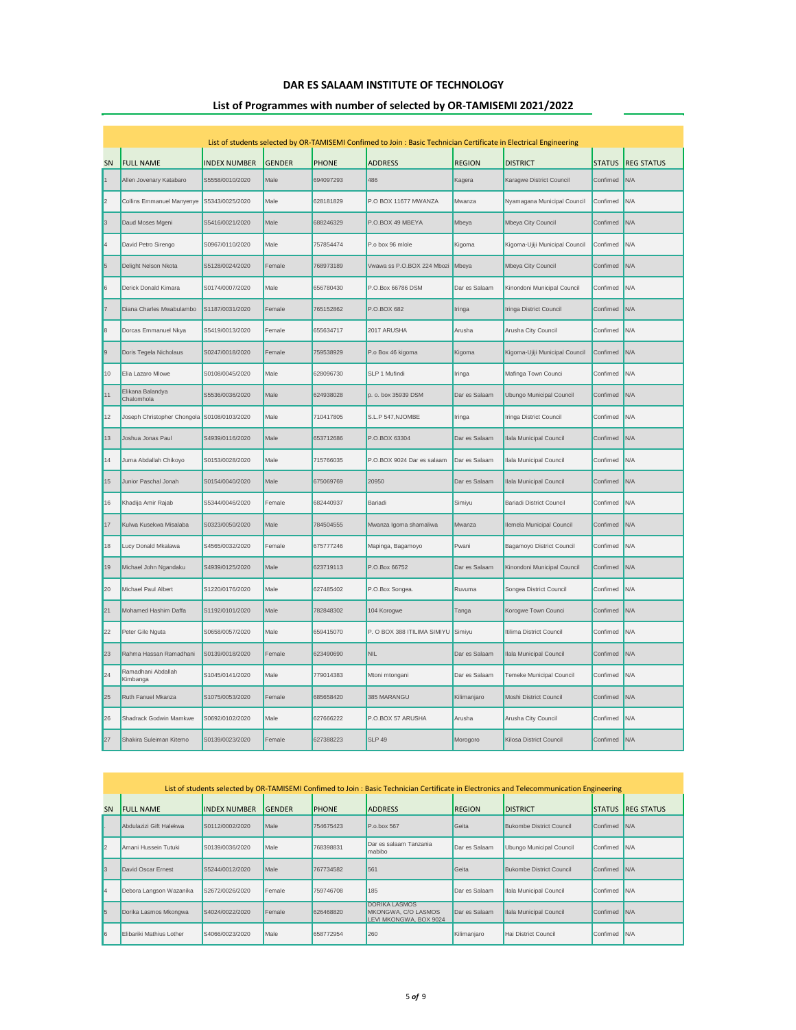|                      |                                             |                     |               |              | List of students selected by OR-TAMISEMI Confimed to Join : Basic Technician Certificate in Electrical Engineering |               |                                 |               |                   |
|----------------------|---------------------------------------------|---------------------|---------------|--------------|--------------------------------------------------------------------------------------------------------------------|---------------|---------------------------------|---------------|-------------------|
| SN                   | <b>FULL NAME</b>                            | <b>INDEX NUMBER</b> | <b>GENDER</b> | <b>PHONE</b> | <b>ADDRESS</b>                                                                                                     | <b>REGION</b> | <b>DISTRICT</b>                 | <b>STATUS</b> | <b>REG STATUS</b> |
| $\vert$ 1            | Allen Jovenary Katabaro                     | S5558/0010/2020     | Male          | 694097293    | 486                                                                                                                | Kagera        | Karagwe District Council        | Confimed      | N/A               |
| $\vert$ <sub>2</sub> | Collins Emmanuel Manyenye                   | S5343/0025/2020     | Male          | 628181829    | P.O BOX 11677 MWANZA                                                                                               | Mwanza        | Nyamagana Municipal Council     | Confimed      | N/A               |
| $\vert$ 3            | Daud Moses Mgeni                            | S5416/0021/2020     | Male          | 688246329    | P.O.BOX 49 MBEYA                                                                                                   | Mbeya         | Mbeya City Council              | Confimed      | N/A               |
| 4                    | David Petro Sirengo                         | S0967/0110/2020     | Male          | 757854474    | P.o box 96 mlole                                                                                                   | Kigoma        | Kigoma-Ujiji Municipal Council  | Confimed      | N/A               |
| $\vert$ <sub>5</sub> | Delight Nelson Nkota                        | S5128/0024/2020     | Female        | 768973189    | Vwawa ss P.O.BOX 224 Mbozi                                                                                         | Mbeya         | Mbeya City Council              | Confimed      | N/A               |
| 6                    | Derick Donald Kimara                        | S0174/0007/2020     | Male          | 656780430    | P.O.Box 66786 DSM                                                                                                  | Dar es Salaam | Kinondoni Municipal Council     | Confimed      | N/A               |
|                      | Diana Charles Mwabulambo                    | S1187/0031/2020     | Female        | 765152862    | P.O.BOX 682                                                                                                        | Iringa        | Iringa District Council         | Confimed      | N/A               |
| 8                    | Dorcas Emmanuel Nkya                        | S5419/0013/2020     | Female        | 655634717    | 2017 ARUSHA                                                                                                        | Arusha        | Arusha City Council             | Confimed      | N/A               |
| 9                    | Doris Tegela Nicholaus                      | S0247/0018/2020     | Female        | 759538929    | P.o Box 46 kigoma                                                                                                  | Kigoma        | Kigoma-Ujiji Municipal Council  | Confimed      | N/A               |
| 10                   | Flia Lazaro Mlowe                           | S0108/0045/2020     | Male          | 628096730    | SLP 1 Mufindi                                                                                                      | Iringa        | Mafinga Town Counci             | Confimed      | N/A               |
| 11                   | Elikana Balandya<br>Chalomhola              | S5536/0036/2020     | Male          | 624938028    | p. o. box 35939 DSM                                                                                                | Dar es Salaam | Ubungo Municipal Council        | Confimed      | N/A               |
| 12                   | Joseph Christopher Chongola S0108/0103/2020 |                     | Male          | 710417805    | S.L.P 547, NJOMBE                                                                                                  | Iringa        | Iringa District Council         | Confimed      | N/A               |
| 13                   | Joshua Jonas Paul                           | S4939/0116/2020     | Male          | 653712686    | P.O.BOX 63304                                                                                                      | Dar es Salaam | Ilala Municipal Council         | Confimed      | N/A               |
| 14                   | Juma Abdallah Chikoyo                       | S0153/0028/2020     | Male          | 715766035    | P.O.BOX 9024 Dar es salaam                                                                                         | Dar es Salaam | Ilala Municipal Council         | Confimed      | N/A               |
| 15                   | Junior Paschal Jonah                        | S0154/0040/2020     | Male          | 675069769    | 20950                                                                                                              | Dar es Salaam | Ilala Municipal Council         | Confimed      | N/A               |
| 16                   | Khadija Amir Rajab                          | S5344/0046/2020     | Female        | 682440937    | Bariadi                                                                                                            | Simiyu        | <b>Bariadi District Council</b> | Confimed      | N/A               |
| 17                   | Kulwa Kusekwa Misalaba                      | S0323/0050/2020     | Male          | 784504555    | Mwanza Iqoma shamaliwa                                                                                             | Mwanza        | Ilemela Municipal Council       | Confimed      | N/A               |
| 18                   | Lucy Donald Mkalawa                         | S4565/0032/2020     | Female        | 675777246    | Mapinga, Bagamoyo                                                                                                  | Pwani         | Bagamoyo District Council       | Confimed      | N/A               |
| 19                   | Michael John Ngandaku                       | S4939/0125/2020     | Male          | 623719113    | P.O.Box 66752                                                                                                      | Dar es Salaam | Kinondoni Municipal Council     | Confimed      | N/A               |
| 20                   | Michael Paul Albert                         | S1220/0176/2020     | Male          | 627485402    | P.O.Box Songea.                                                                                                    | Ruvuma        | Songea District Council         | Confimed      | N/A               |
| 21                   | Mohamed Hashim Daffa                        | S1192/0101/2020     | Male          | 782848302    | 104 Korogwe                                                                                                        | Tanga         | Korogwe Town Counci             | Confimed      | N/A               |
| 22                   | Peter Gile Nguta                            | S0658/0057/2020     | Male          | 659415070    | P. O BOX 388 ITILIMA SIMIYU Simiyu                                                                                 |               | Itilima District Council        | Confimed      | N/A               |
| 23                   | Rahma Hassan Ramadhani                      | S0139/0018/2020     | Female        | 623490690    | <b>NIL</b>                                                                                                         | Dar es Salaam | Ilala Municipal Council         | Confimed      | N/A               |
| 24                   | Ramadhani Abdallah<br>Kimbanga              | S1045/0141/2020     | Male          | 779014383    | Mtoni mtongani                                                                                                     | Dar es Salaam | Temeke Municipal Council        | Confimed      | N/A               |
| 25                   | Ruth Fanuel Mkanza                          | S1075/0053/2020     | Female        | 685658420    | 385 MARANGU                                                                                                        | Kilimanjaro   | Moshi District Council          | Confimed      | N/A               |
| 26                   | Shadrack Godwin Mamkwe                      | S0692/0102/2020     | Male          | 627666222    | P.O.BOX 57 ARUSHA                                                                                                  | Arusha        | Arusha City Council             | Confimed      | N/A               |
| 27                   | Shakira Suleiman Kitemo                     | S0139/0023/2020     | Female        | 627388223    | <b>SLP 49</b>                                                                                                      | Morogoro      | Kilosa District Council         | Confimed      | N/A               |

|    | List of students selected by OR-TAMISEMI Confimed to Join : Basic Technician Certificate in Electronics and Telecommunication Engineering |                     |               |              |                                                                       |               |                                 |               |                   |  |  |  |  |
|----|-------------------------------------------------------------------------------------------------------------------------------------------|---------------------|---------------|--------------|-----------------------------------------------------------------------|---------------|---------------------------------|---------------|-------------------|--|--|--|--|
| SN | <b>FULL NAME</b>                                                                                                                          | <b>INDEX NUMBER</b> | <b>GENDER</b> | <b>PHONE</b> | <b>ADDRESS</b>                                                        | <b>REGION</b> | <b>DISTRICT</b>                 | <b>STATUS</b> | <b>REG STATUS</b> |  |  |  |  |
|    | Abdulazizi Gift Halekwa                                                                                                                   | S0112/0002/2020     | Male          | 754675423    | P.o.box 567                                                           | Geita         | <b>Bukombe District Council</b> | Confimed N/A  |                   |  |  |  |  |
| l2 | Amani Hussein Tutuki                                                                                                                      | S0139/0036/2020     | Male          | 768398831    | Dar es salaam Tanzania<br>mabibo                                      | Dar es Salaam | Ubungo Municipal Council        | Confimed      | IN/A              |  |  |  |  |
| l3 | David Oscar Ernest                                                                                                                        | S5244/0012/2020     | Male          | 767734582    | 561                                                                   | Geita         | <b>Bukombe District Council</b> | Confimed N/A  |                   |  |  |  |  |
| 14 | Debora Langson Wazanika                                                                                                                   | S2672/0026/2020     | Female        | 759746708    | 185                                                                   | Dar es Salaam | Ilala Municipal Council         | Confimed      | IN/A              |  |  |  |  |
| 5  | Dorika Lasmos Mkongwa                                                                                                                     | S4024/0022/2020     | Female        | 626468820    | <b>DORIKA LASMOS</b><br>MKONGWA, C/O LASMOS<br>LEVI MKONGWA, BOX 9024 | Dar es Salaam | Ilala Municipal Council         | Confimed N/A  |                   |  |  |  |  |
| 6  | Elibariki Mathius Lother                                                                                                                  | S4066/0023/2020     | Male          | 658772954    | 260                                                                   | Kilimanjaro   | Hai District Council            | Confimed      | <b>N/A</b>        |  |  |  |  |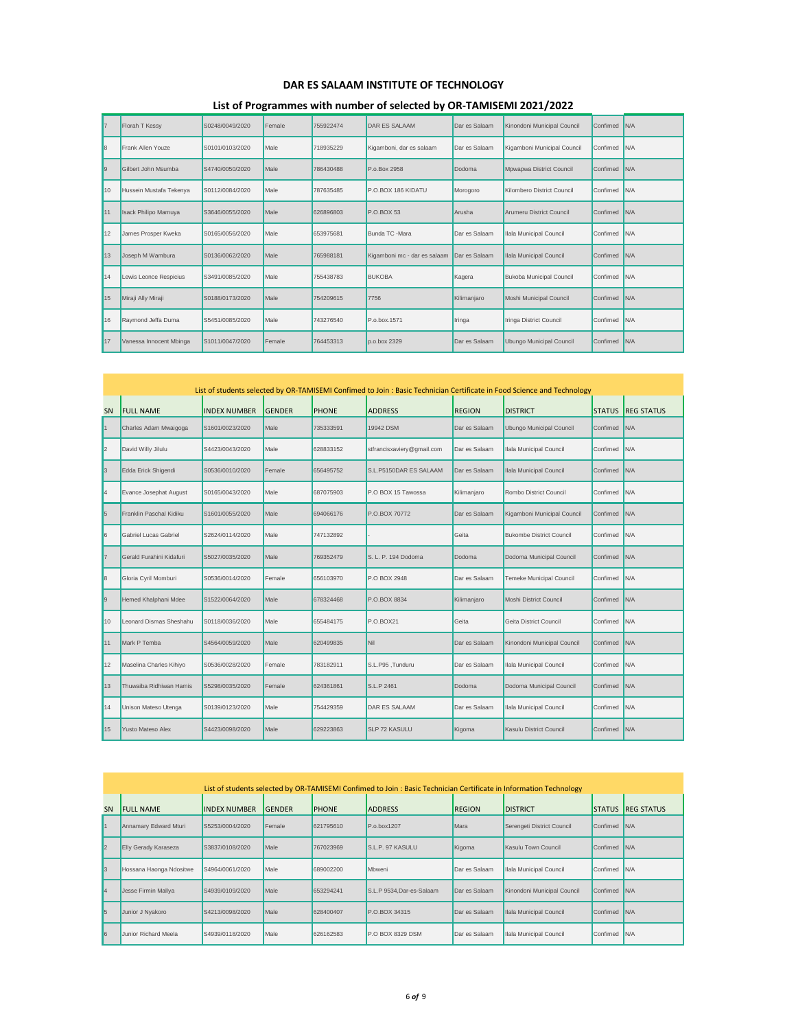| $\overline{7}$ | Florah T Kessy              | S0248/0049/2020 | Female | 755922474 | <b>DAR ES SALAAM</b>         | Dar es Salaam | Kinondoni Municipal Council     | Confimed | <b>N/A</b> |
|----------------|-----------------------------|-----------------|--------|-----------|------------------------------|---------------|---------------------------------|----------|------------|
| l8             | Frank Allen Youze           | S0101/0103/2020 | Male   | 718935229 | Kigamboni, dar es salaam     | Dar es Salaam | Kigamboni Municipal Council     | Confimed | <b>N/A</b> |
| l9             | Gilbert John Msumba         | S4740/0050/2020 | Male   | 786430488 | P.o.Box 2958                 | Dodoma        | Mpwapwa District Council        | Confimed | N/A        |
| 10             | Hussein Mustafa Tekenya     | S0112/0084/2020 | Male   | 787635485 | P.O.BOX 186 KIDATU           | Morogoro      | Kilombero District Council      | Confimed | <b>N/A</b> |
| 11             | <b>Isack Philipo Mamuya</b> | S3646/0055/2020 | Male   | 626896803 | P.O.BOX 53                   | Arusha        | <b>Arumeru District Council</b> | Confimed | <b>N/A</b> |
| 12             | James Prosper Kweka         | S0165/0056/2020 | Male   | 653975681 | Bunda TC -Mara               | Dar es Salaam | Ilala Municipal Council         | Confimed | <b>N/A</b> |
| 13             | Joseph M Wambura            | S0136/0062/2020 | Male   | 765988181 | Kigamboni mc - dar es salaam | Dar es Salaam | Ilala Municipal Council         | Confimed | <b>N/A</b> |
| 14             | Lewis Leonce Respicius      | S3491/0085/2020 | Male   | 755438783 | <b>BUKOBA</b>                | Kagera        | <b>Bukoba Municipal Council</b> | Confimed | <b>N/A</b> |
| 15             | Miraji Ally Miraji          | S0188/0173/2020 | Male   | 754209615 | 7756                         | Kilimanjaro   | Moshi Municipal Council         | Confimed | <b>N/A</b> |
| 16             | Raymond Jeffa Duma          | S5451/0085/2020 | Male   | 743276540 | P.o.box.1571                 | Iringa        | Iringa District Council         | Confimed | <b>N/A</b> |
| 17             | Vanessa Innocent Mbinga     | S1011/0047/2020 | Female | 764453313 | p.o.box 2329                 | Dar es Salaam | Ubungo Municipal Council        | Confimed | IN/A       |

|                | List of students selected by OR-TAMISEMI Confimed to Join : Basic Technician Certificate in Food Science and Technology |                     |               |              |                            |               |                                 |               |                   |  |  |
|----------------|-------------------------------------------------------------------------------------------------------------------------|---------------------|---------------|--------------|----------------------------|---------------|---------------------------------|---------------|-------------------|--|--|
| <b>SN</b>      | <b>FULL NAME</b>                                                                                                        | <b>INDEX NUMBER</b> | <b>GENDER</b> | <b>PHONE</b> | <b>ADDRESS</b>             | <b>REGION</b> | <b>DISTRICT</b>                 | <b>STATUS</b> | <b>REG STATUS</b> |  |  |
| 1              | Charles Adam Mwaigoga                                                                                                   | S1601/0023/2020     | Male          | 735333591    | 19942 DSM                  | Dar es Salaam | <b>Ubungo Municipal Council</b> | Confimed      | N/A               |  |  |
| $\overline{2}$ | David Willy Jilulu                                                                                                      | S4423/0043/2020     | Male          | 628833152    | stfrancisxaviery@gmail.com | Dar es Salaam | Ilala Municipal Council         | Confimed      | N/A               |  |  |
| <sup>3</sup>   | Edda Erick Shigendi                                                                                                     | S0536/0010/2020     | Female        | 656495752    | S.L.P5150DAR ES SALAAM     | Dar es Salaam | Ilala Municipal Council         | Confimed      | N/A               |  |  |
| $\overline{4}$ | Evance Josephat August                                                                                                  | S0165/0043/2020     | Male          | 687075903    | P.O BOX 15 Tawossa         | Kilimanjaro   | Rombo District Council          | Confimed      | N/A               |  |  |
| 5              | Franklin Paschal Kidiku                                                                                                 | S1601/0055/2020     | Male          | 694066176    | P.O.BOX 70772              | Dar es Salaam | Kigamboni Municipal Council     | Confimed      | N/A               |  |  |
| 6              | Gabriel Lucas Gabriel                                                                                                   | S2624/0114/2020     | Male          | 747132892    |                            | Geita         | <b>Bukombe District Council</b> | Confimed      | N/A               |  |  |
| 7              | Gerald Furahini Kidafuri                                                                                                | S5027/0035/2020     | Male          | 769352479    | S. L. P. 194 Dodoma        | Dodoma        | Dodoma Municipal Council        | Confimed      | N/A               |  |  |
| 8              | Gloria Cyril Momburi                                                                                                    | S0536/0014/2020     | Female        | 656103970    | P.O BOX 2948               | Dar es Salaam | Temeke Municipal Council        | Confimed      | N/A               |  |  |
| $\overline{9}$ | Hemed Khalphani Mdee                                                                                                    | S1522/0064/2020     | Male          | 678324468    | P.O.BOX 8834               | Kilimanjaro   | Moshi District Council          | Confimed      | N/A               |  |  |
| 10             | Leonard Dismas Sheshahu                                                                                                 | S0118/0036/2020     | Male          | 655484175    | P.O.BOX21                  | Geita         | Geita District Council          | Confimed      | N/A               |  |  |
| 11             | Mark P Temba                                                                                                            | S4564/0059/2020     | Male          | 620499835    | Nil                        | Dar es Salaam | Kinondoni Municipal Council     | Confimed      | N/A               |  |  |
| 12             | Maselina Charles Kihiyo                                                                                                 | S0536/0028/2020     | Female        | 783182911    | S.L.P95, Tunduru           | Dar es Salaam | Ilala Municipal Council         | Confimed      | N/A               |  |  |
| 13             | Thuwaiba Ridhiwan Hamis                                                                                                 | S5298/0035/2020     | Female        | 624361861    | S.L.P 2461                 | Dodoma        | Dodoma Municipal Council        | Confimed      | N/A               |  |  |
| 14             | Unison Mateso Utenga                                                                                                    | S0139/0123/2020     | Male          | 754429359    | <b>DAR ES SALAAM</b>       | Dar es Salaam | Ilala Municipal Council         | Confimed      | N/A               |  |  |
| 15             | <b>Yusto Mateso Alex</b>                                                                                                | S4423/0098/2020     | Male          | 629223863    | <b>SLP 72 KASULU</b>       | Kigoma        | Kasulu District Council         | Confimed      | N/A               |  |  |

|               | List of students selected by OR-TAMISEMI Confimed to Join : Basic Technician Certificate in Information Technology |                     |               |              |                          |               |                             |               |                   |  |  |
|---------------|--------------------------------------------------------------------------------------------------------------------|---------------------|---------------|--------------|--------------------------|---------------|-----------------------------|---------------|-------------------|--|--|
| SN            | <b>FULL NAME</b>                                                                                                   | <b>INDEX NUMBER</b> | <b>GENDER</b> | <b>PHONE</b> | <b>ADDRESS</b>           | <b>REGION</b> | <b>DISTRICT</b>             | <b>STATUS</b> | <b>REG STATUS</b> |  |  |
|               | Annamary Edward Mturi                                                                                              | S5253/0004/2020     | Female        | 621795610    | P.o.box1207              | Mara          | Serengeti District Council  | Confimed N/A  |                   |  |  |
| $\mathsf{I}2$ | <b>Elly Gerady Karaseza</b>                                                                                        | S3837/0108/2020     | Male          | 767023969    | S.L.P. 97 KASULU         | Kigoma        | Kasulu Town Council         | Confimed N/A  |                   |  |  |
| l3            | Hossana Haonga Ndositwe                                                                                            | S4964/0061/2020     | Male          | 689002200    | Mbweni                   | Dar es Salaam | Ilala Municipal Council     | Confimed N/A  |                   |  |  |
| $\vert$ 4     | Jesse Firmin Mallya                                                                                                | S4939/0109/2020     | Male          | 653294241    | S.L.P 9534.Dar-es-Salaam | Dar es Salaam | Kinondoni Municipal Council | Confimed N/A  |                   |  |  |
| 15            | Junior J Nyakoro                                                                                                   | S4213/0098/2020     | Male          | 628400407    | P.O.BOX 34315            | Dar es Salaam | Ilala Municipal Council     | Confimed N/A  |                   |  |  |
| 6             | <b>Junior Richard Meela</b>                                                                                        | S4939/0118/2020     | Male          | 626162583    | <b>P.O BOX 8329 DSM</b>  | Dar es Salaam | Ilala Municipal Council     | Confimed N/A  |                   |  |  |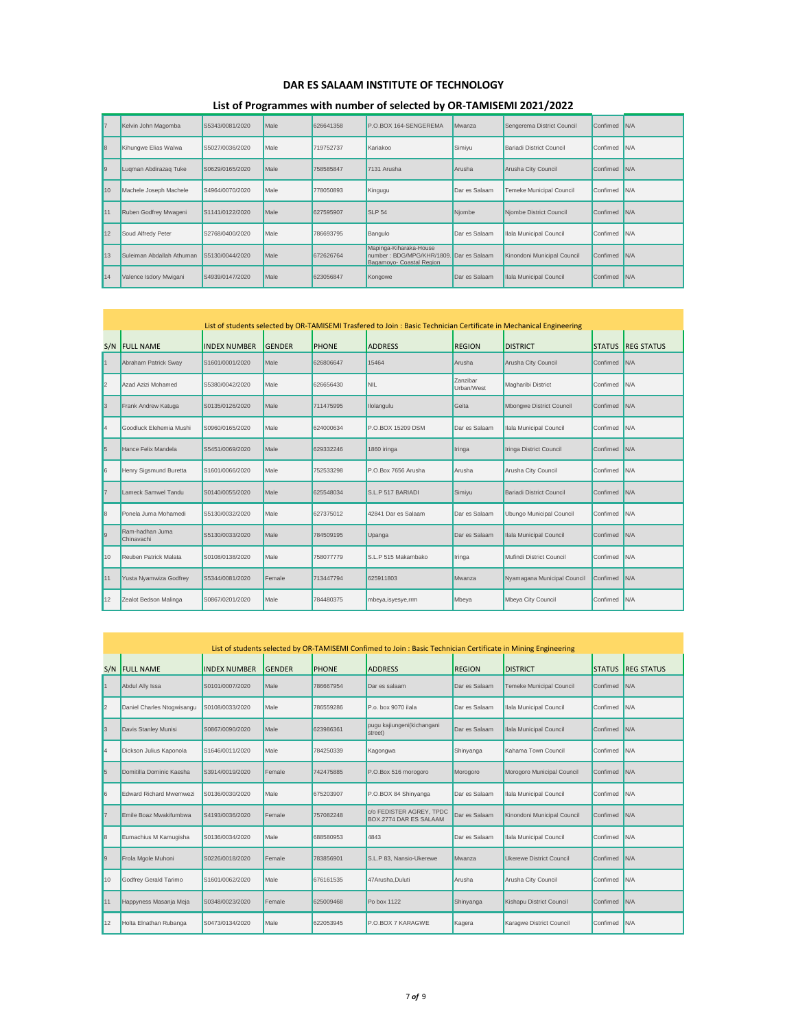| 17        | Kelvin John Magomba       | S5343/0081/2020 | Male | 626641358 | P.O.BOX 164-SENGEREMA                                                                         | Mwanza        | Sengerema District Council      | Confimed | <b>IN/A</b> |
|-----------|---------------------------|-----------------|------|-----------|-----------------------------------------------------------------------------------------------|---------------|---------------------------------|----------|-------------|
| l8        | Kihungwe Elias Walwa      | S5027/0036/2020 | Male | 719752737 | Kariakoo                                                                                      | Simiyu        | Bariadi District Council        | Confimed | N/A         |
| l9        | Luqman Abdirazaq Tuke     | S0629/0165/2020 | Male | 758585847 | 7131 Arusha                                                                                   | Arusha        | Arusha City Council             | Confimed | <b>IN/A</b> |
| 10        | Machele Joseph Machele    | S4964/0070/2020 | Male | 778050893 | Kingugu                                                                                       | Dar es Salaam | <b>Temeke Municipal Council</b> | Confimed | IN/A        |
| 11        | Ruben Godfrey Mwageni     | S1141/0122/2020 | Male | 627595907 | <b>SLP 54</b>                                                                                 | Njombe        | Niombe District Council         | Confimed | <b>IN/A</b> |
| <b>12</b> | Soud Alfredy Peter        | S2768/0400/2020 | Male | 786693795 | Bangulo                                                                                       | Dar es Salaam | Ilala Municipal Council         | Confimed | N/A         |
| 13        | Suleiman Abdallah Athuman | S5130/0044/2020 | Male | 672626764 | Mapinga-Kiharaka-House<br>number: BDG/MPG/KHR/1809. Dar es Salaam<br>Bagamovo- Coastal Region |               | Kinondoni Municipal Council     | Confimed | <b>IN/A</b> |
| 14        | Valence Isdory Mwigani    | S4939/0147/2020 | Male | 623056847 | Kongowe                                                                                       | Dar es Salaam | Ilala Municipal Council         | Confimed | N/A         |

|                      |                               |                     |               |              | List of students selected by OR-TAMISEMI Trasfered to Join : Basic Technician Certificate in Mechanical Engineering |                               |                                 |               |                   |
|----------------------|-------------------------------|---------------------|---------------|--------------|---------------------------------------------------------------------------------------------------------------------|-------------------------------|---------------------------------|---------------|-------------------|
| S/N                  | <b>FULL NAME</b>              | <b>INDEX NUMBER</b> | <b>GENDER</b> | <b>PHONE</b> | <b>ADDRESS</b>                                                                                                      | <b>REGION</b>                 | <b>DISTRICT</b>                 | <b>STATUS</b> | <b>REG STATUS</b> |
|                      | Abraham Patrick Sway          | S1601/0001/2020     | Male          | 626806647    | 15464                                                                                                               | Arusha                        | Arusha City Council             | Confimed      | N/A               |
| I <sub>2</sub>       | Azad Azizi Mohamed            | S5380/0042/2020     | Male          | 626656430    | <b>NIL</b>                                                                                                          | <b>Zanzibar</b><br>Urban/West | Magharibi District              | Confimed      | N/A               |
| $\vert$ <sub>3</sub> | Frank Andrew Katuga           | S0135/0126/2020     | Male          | 711475995    | Ilolangulu                                                                                                          | Geita                         | Mbongwe District Council        | Confimed      | N/A               |
| 14                   | Goodluck Elehemia Mushi       | S0960/0165/2020     | Male          | 624000634    | P.O.BOX 15209 DSM                                                                                                   | Dar es Salaam                 | Ilala Municipal Council         | Confimed      | N/A               |
| 5                    | Hance Felix Mandela           | S5451/0069/2020     | Male          | 629332246    | 1860 iringa                                                                                                         | Iringa                        | <b>Iringa District Council</b>  | Confimed      | N/A               |
| l6                   | Henry Sigsmund Buretta        | S1601/0066/2020     | Male          | 752533298    | P.O.Box 7656 Arusha                                                                                                 | Arusha                        | Arusha City Council             | Confimed      | N/A               |
| 17                   | Lameck Samwel Tandu           | S0140/0055/2020     | Male          | 625548034    | S.L.P 517 BARIADI                                                                                                   | Simivu                        | <b>Bariadi District Council</b> | Confimed      | N/A               |
| 8                    | Ponela Juma Mohamedi          | S5130/0032/2020     | Male          | 627375012    | 42841 Dar es Salaam                                                                                                 | Dar es Salaam                 | Ubungo Municipal Council        | Confimed      | N/A               |
| l9                   | Ram-hadhan Juma<br>Chinavachi | S5130/0033/2020     | Male          | 784509195    | Upanga                                                                                                              | Dar es Salaam                 | Ilala Municipal Council         | Confimed      | N/A               |
| 10 <sup>10</sup>     | Reuben Patrick Malata         | S0108/0138/2020     | Male          | 758077779    | S.L.P 515 Makambako                                                                                                 | Iringa                        | Mufindi District Council        | Confimed      | <b>N/A</b>        |
| 11                   | Yusta Nyamwiza Godfrey        | S5344/0081/2020     | Female        | 713447794    | 625911803                                                                                                           | Mwanza                        | Nyamagana Municipal Council     | Confimed      | N/A               |
| 12 <sup>2</sup>      | Zealot Bedson Malinga         | S0867/0201/2020     | Male          | 784480375    | mbeya,isyesye,rrm                                                                                                   | Mbeya                         | Mbeya City Council              | Confimed      | N/A               |

|                      | List of students selected by OR-TAMISEMI Confimed to Join : Basic Technician Certificate in Mining Engineering |                     |               |              |                                                    |               |                                 |               |                   |  |  |
|----------------------|----------------------------------------------------------------------------------------------------------------|---------------------|---------------|--------------|----------------------------------------------------|---------------|---------------------------------|---------------|-------------------|--|--|
| S/N                  | <b>FULL NAME</b>                                                                                               | <b>INDEX NUMBER</b> | <b>GENDER</b> | <b>PHONE</b> | <b>ADDRESS</b>                                     | <b>REGION</b> | <b>DISTRICT</b>                 | <b>STATUS</b> | <b>REG STATUS</b> |  |  |
|                      | Abdul Ally Issa                                                                                                | S0101/0007/2020     | Male          | 786667954    | Dar es salaam                                      | Dar es Salaam | <b>Temeke Municipal Council</b> | Confimed      | N/A               |  |  |
| 12                   | Daniel Charles Ntogwisangu                                                                                     | S0108/0033/2020     | Male          | 786559286    | P.o. box 9070 ilala                                | Dar es Salaam | Ilala Municipal Council         | Confimed      | IN/A              |  |  |
| $\vert$ <sub>3</sub> | Davis Stanley Munisi                                                                                           | S0867/0090/2020     | Male          | 623986361    | pugu kajiungeni(kichangani<br>street)              | Dar es Salaam | Ilala Municipal Council         | Confimed      | N/A               |  |  |
| 14                   | Dickson Julius Kaponola                                                                                        | S1646/0011/2020     | Male          | 784250339    | Kagongwa                                           | Shinyanga     | Kahama Town Council             | Confimed      | IN/A              |  |  |
| 5                    | Domitilla Dominic Kaesha                                                                                       | S3914/0019/2020     | Female        | 742475885    | P.O.Box 516 morogoro                               | Morogoro      | Morogoro Municipal Council      | Confimed      | N/A               |  |  |
| 6                    | Edward Richard Mwemwezi                                                                                        | S0136/0030/2020     | Male          | 675203907    | P.O.BOX 84 Shinyanga                               | Dar es Salaam | Ilala Municipal Council         | Confimed      | N/A               |  |  |
| 17                   | Emile Boaz Mwakifumbwa                                                                                         | S4193/0036/2020     | Female        | 757082248    | c/o FEDISTER AGREY, TPDC<br>BOX.2774 DAR ES SALAAM | Dar es Salaam | Kinondoni Municipal Council     | Confimed      | <b>N/A</b>        |  |  |
| 8                    | Eumachius M Kamugisha                                                                                          | S0136/0034/2020     | Male          | 688580953    | 4843                                               | Dar es Salaam | Ilala Municipal Council         | Confimed      | <b>N/A</b>        |  |  |
| $\vert$ 9            | Frola Mgole Muhoni                                                                                             | S0226/0018/2020     | Female        | 783856901    | S.L.P 83. Nansio-Ukerewe                           | Mwanza        | <b>Ukerewe District Council</b> | Confimed      | N/A               |  |  |
| 10                   | Godfrey Gerald Tarimo                                                                                          | S1601/0062/2020     | Male          | 676161535    | 47Arusha, Duluti                                   | Arusha        | Arusha City Council             | Confimed      | N/A               |  |  |
| 11                   | Happyness Masanja Meja                                                                                         | S0348/0023/2020     | Female        | 625009468    | Po hox 1122                                        | Shinyanga     | Kishapu District Council        | Confimed      | N/A               |  |  |
| 12                   | Holta Elnathan Rubanga                                                                                         | S0473/0134/2020     | Male          | 622053945    | P.O.BOX 7 KARAGWE                                  | Kagera        | Karagwe District Council        | Confimed      | N/A               |  |  |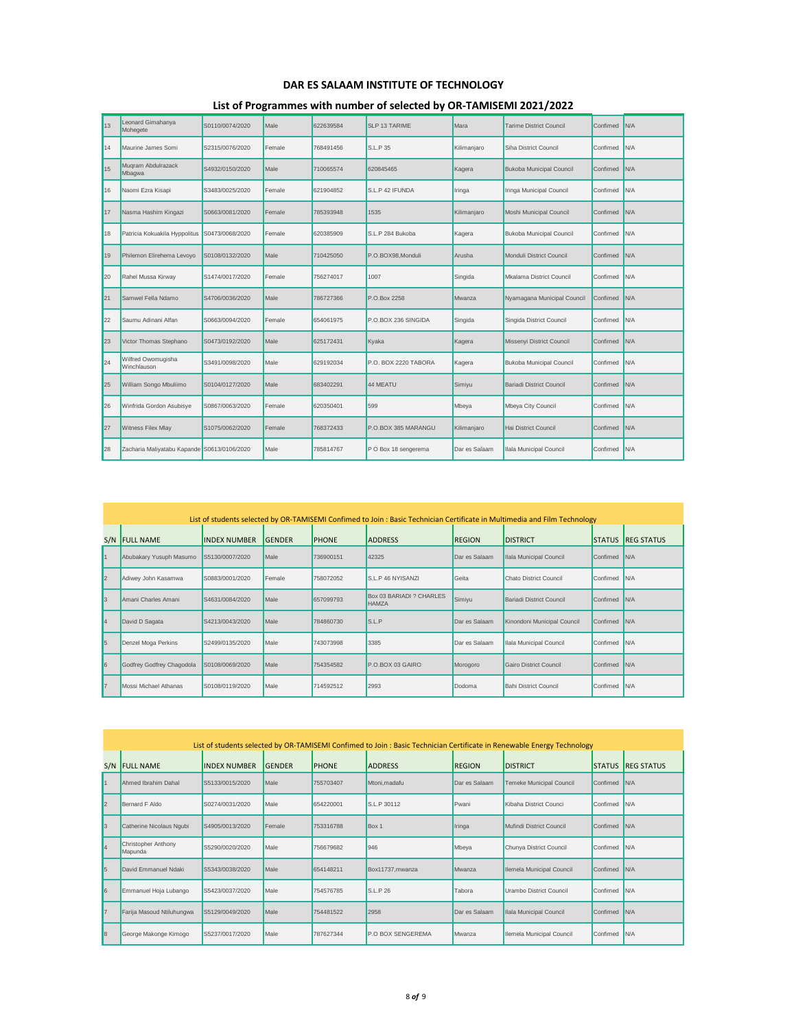|  |  | List of Programmes with number of selected by OR-TAMISEMI 2021/2022 |  |
|--|--|---------------------------------------------------------------------|--|
|  |  |                                                                     |  |

| 13 | Leonard Gimahanya<br>Mohegete               | S0110/0074/2020 | Male        | 622639584 | SLP 13 TARIME        | Mara          | <b>Tarime District Council</b>  | Confimed | N/A        |
|----|---------------------------------------------|-----------------|-------------|-----------|----------------------|---------------|---------------------------------|----------|------------|
| 14 | Maurine James Somi                          | S2315/0076/2020 | Female      | 768491456 | S.L.P 35             | Kilimanjaro   | Siha District Council           | Confimed | N/A        |
| 15 | Mugram Abdulrazack<br>Mbagwa                | S4932/0150/2020 | <b>Male</b> | 710065574 | 620845465            | Kagera        | <b>Bukoba Municipal Council</b> | Confimed | N/A        |
| 16 | Naomi Ezra Kisapi                           | S3483/0025/2020 | Female      | 621904852 | S.L.P 42 IFUNDA      | Iringa        | Iringa Municipal Council        | Confimed | N/A        |
| 17 | Nasma Hashim Kingazi                        | S0663/0081/2020 | Female      | 785393948 | 1535                 | Kilimanjaro   | Moshi Municipal Council         | Confimed | N/A        |
| 18 | Patricia Kokuakila Hyppolitus               | S0473/0068/2020 | Female      | 620385909 | S.L.P 284 Bukoba     | Kagera        | <b>Bukoba Municipal Council</b> | Confimed | N/A        |
| 19 | Philemon Elirehema Levoyo                   | S0108/0132/2020 | Male        | 710425050 | P.O.BOX98.Monduli    | Arusha        | Monduli District Council        | Confimed | N/A        |
| 20 | Rahel Mussa Kirway                          | S1474/0017/2020 | Female      | 756274017 | 1007                 | Singida       | Mkalama District Council        | Confimed | N/A        |
| 21 | Samwel Fella Ndamo                          | S4706/0036/2020 | Male        | 786727366 | P.O.Box 2258         | Mwanza        | Nyamagana Municipal Council     | Confimed | N/A        |
| 22 | Saumu Adinani Alfan                         | S0663/0094/2020 | Female      | 654061975 | P.O.BOX 236 SINGIDA  | Singida       | Singida District Council        | Confimed | N/A        |
| 23 | Victor Thomas Stephano                      | S0473/0192/2020 | Male        | 625172431 | Kyaka                | Kagera        | Missenyi District Council       | Confimed | N/A        |
| 24 | Wilfred Owomugisha<br>Winchlauson           | S3491/0098/2020 | Male        | 629192034 | P.O. BOX 2220 TABORA | Kagera        | <b>Bukoba Municipal Council</b> | Confimed | <b>N/A</b> |
| 25 | William Songo Mbuliimo                      | S0104/0127/2020 | Male        | 683402291 | 44 MEATU             | Simiyu        | <b>Bariadi District Council</b> | Confimed | N/A        |
| 26 | Winfrida Gordon Asubisye                    | S0867/0063/2020 | Female      | 620350401 | 599                  | Mbeya         | Mbeya City Council              | Confimed | N/A        |
| 27 | Witness Filex Mlay                          | S1075/0062/2020 | Female      | 768372433 | P.O.BOX 385 MARANGU  | Kilimanjaro   | Hai District Council            | Confimed | <b>N/A</b> |
| 28 | Zacharia Maliyatabu Kapande S0613/0106/2020 |                 | Male        | 785814767 | P O Box 18 sengerema | Dar es Salaam | Ilala Municipal Council         | Confimed | N/A        |

|                | List of students selected by OR-TAMISEMI Confimed to Join : Basic Technician Certificate in Multimedia and Film Technology |                     |               |              |                                          |               |                              |               |                   |  |  |  |
|----------------|----------------------------------------------------------------------------------------------------------------------------|---------------------|---------------|--------------|------------------------------------------|---------------|------------------------------|---------------|-------------------|--|--|--|
| S/N            | <b>FULL NAME</b>                                                                                                           | <b>INDEX NUMBER</b> | <b>GENDER</b> | <b>PHONE</b> | <b>ADDRESS</b>                           | <b>REGION</b> | <b>DISTRICT</b>              | <b>STATUS</b> | <b>REG STATUS</b> |  |  |  |
|                | Abubakary Yusuph Masumo                                                                                                    | S5130/0007/2020     | Male          | 736900151    | 42325                                    | Dar es Salaam | Ilala Municipal Council      | Confimed      | <b>N/A</b>        |  |  |  |
| 2              | Adiwey John Kasamwa                                                                                                        | S0883/0001/2020     | Female        | 758072052    | S.L.P 46 NYISANZI                        | Geita         | Chato District Council       | Confimed      | N/A               |  |  |  |
| <sup>3</sup>   | Amani Charles Amani                                                                                                        | S4631/0084/2020     | Male          | 657099793    | Box 03 BARIADI ? CHARLES<br><b>HAMZA</b> | Simivu        | Bariadi District Council     | Confimed      | <b>N/A</b>        |  |  |  |
| 4              | David D Sagata                                                                                                             | S4213/0043/2020     | Male          | 784860730    | S.L.P                                    | Dar es Salaam | Kinondoni Municipal Council  | Confimed N/A  |                   |  |  |  |
| 5              | Denzel Moga Perkins                                                                                                        | S2499/0135/2020     | Male          | 743073998    | 3385                                     | Dar es Salaam | Ilala Municipal Council      | Confimed      | N/A               |  |  |  |
| 6              | Godfrey Godfrey Chagodola                                                                                                  | S0108/0069/2020     | Male          | 754354582    | P.O.BOX 03 GAIRO                         | Morogoro      | Gairo District Council       | Confimed      | <b>N/A</b>        |  |  |  |
| $\overline{7}$ | Mossi Michael Athanas                                                                                                      | S0108/0119/2020     | Male          | 714592512    | 2993                                     | Dodoma        | <b>Bahi District Council</b> | Confimed      | N/A               |  |  |  |

|                | List of students selected by OR-TAMISEMI Confimed to Join : Basic Technician Certificate in Renewable Energy Technology |                     |               |              |                           |               |                                 |               |                   |  |  |  |
|----------------|-------------------------------------------------------------------------------------------------------------------------|---------------------|---------------|--------------|---------------------------|---------------|---------------------------------|---------------|-------------------|--|--|--|
| S/N            | <b>FULL NAME</b>                                                                                                        | <b>INDEX NUMBER</b> | <b>GENDER</b> | <b>PHONE</b> | <b>ADDRESS</b>            | <b>REGION</b> | <b>DISTRICT</b>                 | <b>STATUS</b> | <b>REG STATUS</b> |  |  |  |
|                | Ahmed Ibrahim Dahal                                                                                                     | S5133/0015/2020     | Male          | 755703407    | Mtoni, madafu             | Dar es Salaam | <b>Temeke Municipal Council</b> | Confimed      | N/A               |  |  |  |
| $\mathsf{I}2$  | Bernard F Aldo                                                                                                          | S0274/0031/2020     | Male          | 654220001    | S.L.P 30112               | Pwani         | Kibaha District Counci          | Confimed N/A  |                   |  |  |  |
| $\mathsf{I}3$  | Catherine Nicolaus Ngubi                                                                                                | S4905/0013/2020     | Female        | 753316788    | Box 1                     | Iringa        | Mufindi District Council        | Confimed N/A  |                   |  |  |  |
| 4              | <b>Christopher Anthony</b><br>Mapunda                                                                                   | S5290/0020/2020     | Male          | 756679682    | 946                       | Mbeya         | Chunya District Council         | Confimed N/A  |                   |  |  |  |
| 5              | David Emmanuel Ndaki                                                                                                    | S5343/0038/2020     | Male          | 654148211    | Box11737.mwanza           | Mwanza        | Ilemela Municipal Council       | Confimed N/A  |                   |  |  |  |
| $\overline{6}$ | Emmanuel Hoja Lubango                                                                                                   | S5423/0037/2020     | Male          | 754576785    | S.L.P 26                  | Tabora        | Urambo District Council         | Confimed N/A  |                   |  |  |  |
| 17             | Farija Masoud Ntiluhungwa                                                                                               | S5129/0049/2020     | Male          | 754481522    | 2958                      | Dar es Salaam | Ilala Municipal Council         | Confimed      | <b>IN/A</b>       |  |  |  |
| $\mathsf{B}$   | George Makonge Kimogo                                                                                                   | S5237/0017/2020     | Male          | 787627344    | <b>P.O. BOX SENGEREMA</b> | Mwanza        | Ilemela Municipal Council       | Confimed N/A  |                   |  |  |  |